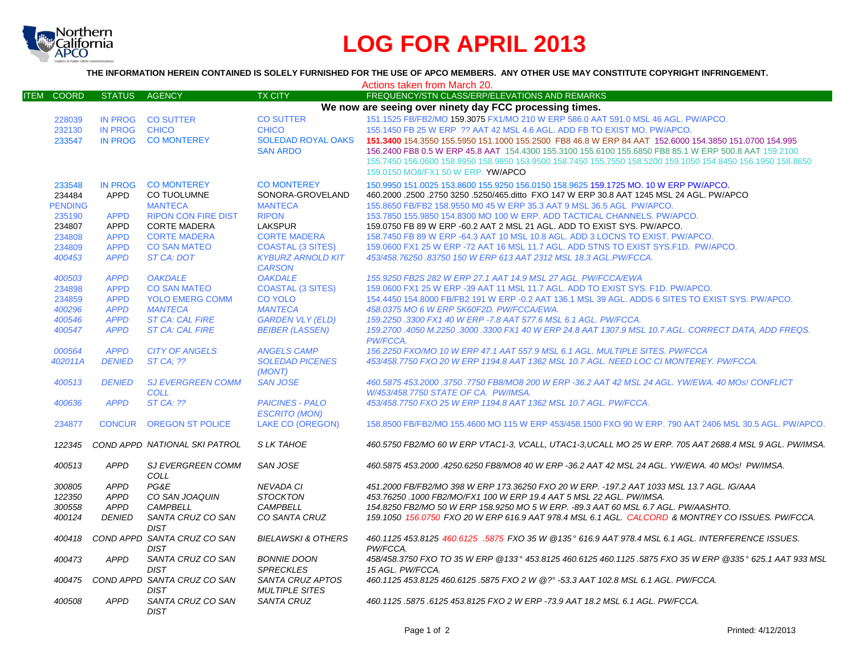

## **LOG FOR APRIL 2013**

**THE INFORMATION HEREIN CONTAINED IS SOLELY FURNISHED FOR THE USE OF APCO MEMBERS. ANY OTHER USE MAY CONSTITUTE COPYRIGHT INFRINGEMENT.**

|                             |                            |                                            |                                                | Actions taken from March 20.                                                                                                                               |
|-----------------------------|----------------------------|--------------------------------------------|------------------------------------------------|------------------------------------------------------------------------------------------------------------------------------------------------------------|
| <b>COORD</b><br><b>ITEM</b> | <b>STATUS</b>              | <b>AGENCY</b>                              | <b>TX CITY</b>                                 | FREQUENCY/STN CLASS/ERP/ELEVATIONS AND REMARKS                                                                                                             |
|                             |                            |                                            |                                                | We now are seeing over ninety day FCC processing times.                                                                                                    |
| 228039                      |                            | IN PROG CO SUTTER                          | <b>CO SUTTER</b>                               | 151.1525 FB/FB2/MO 159.3075 FX1/MO 210 W ERP 586.0 AAT 591.0 MSL 46 AGL. PW/APCO.                                                                          |
| 232130                      | <b>IN PROG</b>             | <b>CHICO</b>                               | <b>CHICO</b>                                   | 155.1450 FB 25 W ERP ?? AAT 42 MSL 4.6 AGL, ADD FB TO EXIST MO, PW/APCO.                                                                                   |
| 233547                      |                            | IN PROG CO MONTEREY                        | <b>SOLEDAD ROYAL OAKS</b>                      | 151.3400 154.3550 155.5950 151.1000 155.2500 FB8 46.8 W ERP 84 AAT 152.6000 154.3850 151.0700 154.995                                                      |
|                             |                            |                                            | <b>SAN ARDO</b>                                | 156.2400 FB8 0.5 W ERP 45.8 AAT 154.4300 155.3100 155.6100 155.6850 FB8 85.1 W ERP 500.8 AAT 159.2100                                                      |
|                             |                            |                                            |                                                | 155.7450 156.0600 158.8950 158.9850 153.9500 158.7450 155.7550 158.5200 159.1050 154.8450 156.1950 158.8650                                                |
|                             |                            |                                            |                                                | 159.0150 MO8/FX1 50 W ERP. YW/APCO                                                                                                                         |
| 233548                      | <b>IN PROG</b>             | <b>CO MONTEREY</b>                         | <b>CO MONTEREY</b>                             | 150.9950 151.0025 153.8600 155.9250 156.0150 158.9625 159.1725 MO. 10 W ERP PW/APCO.                                                                       |
| 234484                      | <b>APPD</b>                | CO TUOLUMNE                                | SONORA-GROVELAND                               | 460.2000 .2500 .2750 3250 .5250/465.ditto FXO 147 W ERP 30.8 AAT 1245 MSL 24 AGL. PW/APCO                                                                  |
| <b>PENDING</b>              |                            | <b>MANTECA</b>                             | <b>MANTECA</b>                                 | 155,8650 FB/FB2 158,9550 M0 45 W ERP 35.3 AAT 9 MSL 36.5 AGL PW/APCO.                                                                                      |
| 235190                      | <b>APPD</b>                | <b>RIPON CON FIRE DIST</b>                 | <b>RIPON</b>                                   | 153.7850 155.9850 154.8300 MO 100 W ERP. ADD TACTICAL CHANNELS. PW/APCO.                                                                                   |
| 234807                      | APPD                       | <b>CORTE MADERA</b>                        | <b>LAKSPUR</b>                                 | 159.0750 FB 89 W ERP -60.2 AAT 2 MSL 21 AGL. ADD TO EXIST SYS. PW/APCO.                                                                                    |
| 234808                      | <b>APPD</b>                | <b>CORTE MADERA</b>                        | <b>CORTE MADERA</b>                            | 158.7450 FB 89 W ERP -64.3 AAT 10 MSL 10.8 AGL. ADD 3 LOCNS TO EXIST. PW/APCO.                                                                             |
| 234809                      | <b>APPD</b>                | <b>CO SAN MATEO</b>                        | <b>COASTAL (3 SITES)</b>                       | 159.0600 FX1 25 W ERP -72 AAT 16 MSL 11.7 AGL. ADD STNS TO EXIST SYS.F1D. PW/APCO.                                                                         |
| 400453                      | <b>APPD</b>                | <b>ST CA: DOT</b>                          | <b>KYBURZ ARNOLD KIT</b>                       | 453/458.76250.83750 150 W ERP 613 AAT 2312 MSL 18.3 AGL.PW/FCCA.                                                                                           |
|                             |                            |                                            | <b>CARSON</b>                                  |                                                                                                                                                            |
| 400503                      | <b>APPD</b>                | <b>OAKDALE</b>                             | <b>OAKDALE</b>                                 | 155.9250 FB2S 282 W ERP 27.1 AAT 14.9 MSL 27 AGL. PW/FCCA/EWA                                                                                              |
| 234898                      | <b>APPD</b>                | <b>CO SAN MATEO</b>                        | <b>COASTAL (3 SITES)</b>                       | 159,0600 FX1 25 W ERP -39 AAT 11 MSL 11.7 AGL, ADD TO EXIST SYS, F1D, PW/APCO,                                                                             |
| 234859                      | <b>APPD</b>                | <b>YOLO EMERG COMM</b>                     | <b>CO YOLO</b>                                 | 154.4450 154.8000 FB/FB2 191 W ERP -0.2 AAT 136.1 MSL 39 AGL. ADDS 6 SITES TO EXIST SYS. PW/APCO.                                                          |
| 400296                      | <b>APPD</b>                | <b>MANTECA</b>                             | <b>MANTECA</b>                                 | 458.0375 MO 6 W ERP 5K60F2D, PW/FCCA/EWA.                                                                                                                  |
| 400546                      | <b>APPD</b>                | <b>ST CA: CAL FIRE</b>                     | <b>GARDEN VLY (ELD)</b>                        | 159.2250 .3300 FX1 40 W ERP -7.8 AAT 577.6 MSL 6.1 AGL. PW/FCCA.                                                                                           |
| 400547                      | <b>APPD</b>                | <b>ST CA: CAL FIRE</b>                     | <b>BEIBER (LASSEN)</b>                         | 159.2700 .4050 M.2250 .3000 .3300 FX1 40 W ERP 24.8 AAT 1307.9 MSL 10.7 AGL. CORRECT DATA, ADD FREQS.<br>PW/FCCA.                                          |
| 000564                      | <b>APPD</b>                | <b>CITY OF ANGELS</b>                      | <b>ANGELS CAMP</b>                             | 156.2250 FXO/MO 10 W ERP 47.1 AAT 557.9 MSL 6.1 AGL, MULTIPLE SITES, PW/FCCA                                                                               |
| 402011A                     | <b>DENIED</b>              | <b>ST CA: ??</b>                           | <b>SOLEDAD PICENES</b><br>(MONT)               | 453/458.7750 FXO 20 W ERP 1194.8 AAT 1362 MSL 10.7 AGL. NEED LOC CI MONTEREY. PW/FCCA.                                                                     |
| 400513                      | <b>DENIED</b>              | <b>SJ EVERGREEN COMM</b>                   | <b>SAN JOSE</b>                                | 460.5875 453.2000 .3750 .7750 FB8/MO8 200 W ERP -36.2 AAT 42 MSL 24 AGL. YW/EWA. 40 MOs! CONFLICT                                                          |
|                             |                            | <b>COLL</b>                                |                                                | W/453/458.7750 STATE OF CA. PW/IMSA.                                                                                                                       |
| 400636                      | <b>APPD</b>                | <b>ST CA: ??</b>                           | <b>PAICINES - PALO</b><br><b>ESCRITO (MON)</b> | 453/458.7750 FXO 25 W ERP 1194.8 AAT 1362 MSL 10.7 AGL. PW/FCCA.                                                                                           |
| 234877                      | <b>CONCUR</b>              | <b>OREGON ST POLICE</b>                    | <b>LAKE CO (OREGON)</b>                        | 158,8500 FB/FB2/MO 155,4600 MO 115 W ERP 453/458,1500 FXO 90 W ERP, 790 AAT 2406 MSL 30.5 AGL, PW/APCO,                                                    |
| 122345                      |                            | COND APPD NATIONAL SKI PATROL              | S LK TAHOE                                     | 460.5750 FB2/MO 60 W ERP VTAC1-3. VCALL. UTAC1-3.UCALL MO 25 W ERP. 705 AAT 2688.4 MSL 9 AGL. PW/IMSA.                                                     |
| 400513                      | <b>APPD</b>                | SJ EVERGREEN COMM                          | SAN JOSE                                       | 460.5875 453.2000 .4250.6250 FB8/MO8 40 W ERP -36.2 AAT 42 MSL 24 AGL. YW/EWA. 40 MOs! PW/IMSA.                                                            |
|                             |                            | COLL                                       |                                                |                                                                                                                                                            |
| 300805                      | <b>APPD</b>                | PG&E                                       | <b>NEVADA CI</b>                               | 451.2000 FB/FB2/MO 398 W ERP 173.36250 FXO 20 W ERP. -197.2 AAT 1033 MSL 13.7 AGL. IG/AAA                                                                  |
| 122350<br>300558            | <b>APPD</b><br><b>APPD</b> | CO SAN JOAQUIN<br><b>CAMPBELL</b>          | <b>STOCKTON</b><br><b>CAMPBELL</b>             | 453.76250 .1000 FB2/MO/FX1 100 W ERP 19.4 AAT 5 MSL 22 AGL. PW/IMSA.<br>154.8250 FB2/MO 50 W ERP 158.9250 MO 5 W ERP. -89.3 AAT 60 MSL 6.7 AGL. PW/AASHTO. |
| 400124                      | <b>DENIED</b>              | SANTA CRUZ CO SAN                          | CO SANTA CRUZ                                  | 159.1050 156.0750 FXO 20 W ERP 616.9 AAT 978.4 MSL 6.1 AGL. CALCORD & MONTREY CO ISSUES. PW/FCCA.                                                          |
|                             |                            | <b>DIST</b>                                |                                                |                                                                                                                                                            |
| 400418                      |                            | COND APPD SANTA CRUZ CO SAN<br><b>DIST</b> | <b>BIELAWSKI &amp; OTHERS</b>                  | 460.1125 453.8125 460.6125 .5875 FXO 35 W @135° 616.9 AAT 978.4 MSL 6.1 AGL. INTERFERENCE ISSUES.<br>PW/FCCA.                                              |
| 400473                      | <b>APPD</b>                | SANTA CRUZ CO SAN<br><b>DIST</b>           | <b>BONNIE DOON</b><br><b>SPRECKLES</b>         | 458/458.3750 FXO TO 35 W ERP @133° 453.8125 460.6125 460.1125 .5875 FXO 35 W ERP @335° 625.1 AAT 933 MSL<br>15 AGL. PW/FCCA.                               |
| 400475                      |                            | COND APPD SANTA CRUZ CO SAN<br><b>DIST</b> | SANTA CRUZ APTOS<br><b>MULTIPLE SITES</b>      | 460.1125 453.8125 460.6125 .5875 FXO 2 W @?° -53.3 AAT 102.8 MSL 6.1 AGL. PW/FCCA.                                                                         |
| 400508                      | <b>APPD</b>                | SANTA CRUZ CO SAN<br><b>DIST</b>           | <b>SANTA CRUZ</b>                              | 460.1125.5875.6125 453.8125 FXO 2 W ERP -73.9 AAT 18.2 MSL 6.1 AGL. PW/FCCA.                                                                               |